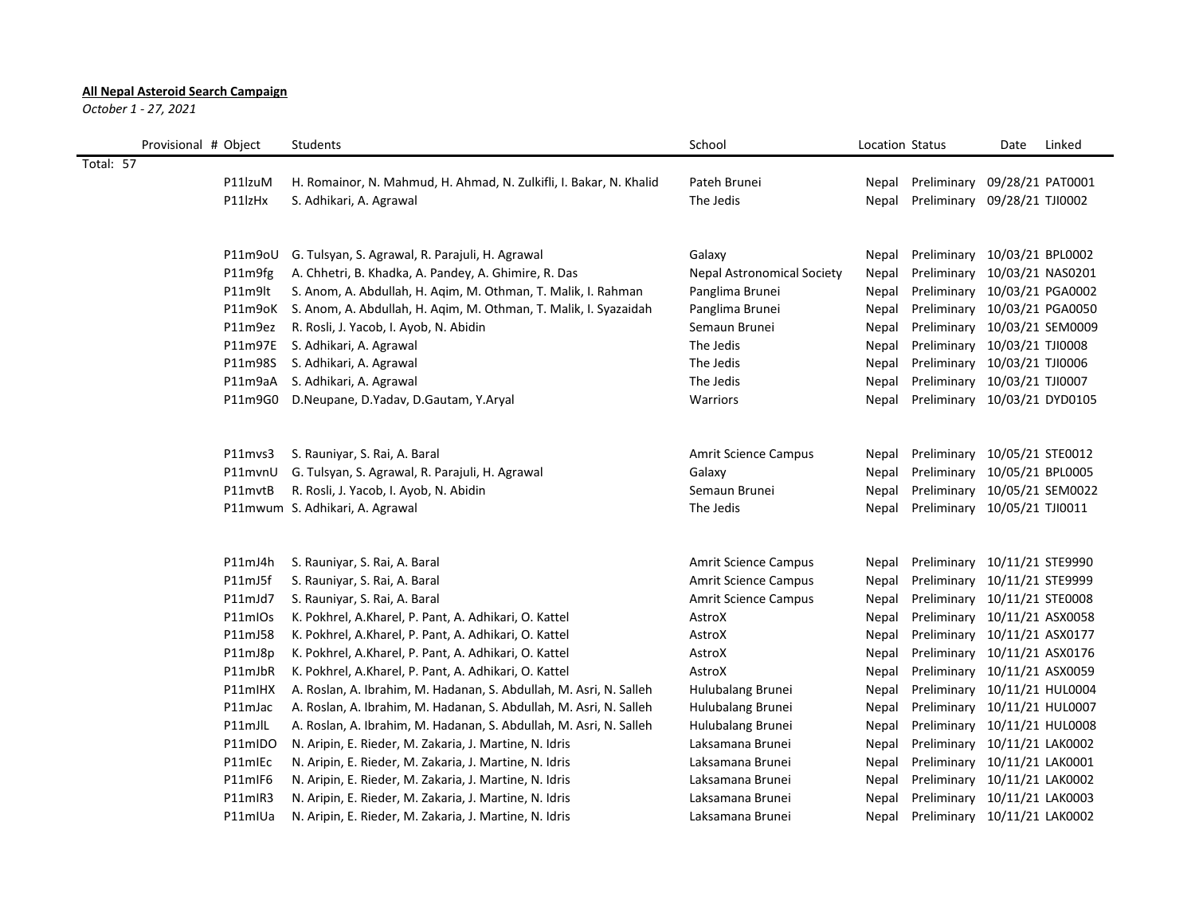## **All Nepal Asteroid Search Campaign**

*October 1 - 27, 2021*

|           | Provisional # Object | Students                                                           | School                            | Location Status |                              | Date             | Linked |
|-----------|----------------------|--------------------------------------------------------------------|-----------------------------------|-----------------|------------------------------|------------------|--------|
| Total: 57 |                      |                                                                    |                                   |                 |                              |                  |        |
|           | P11lzuM              | H. Romainor, N. Mahmud, H. Ahmad, N. Zulkifli, I. Bakar, N. Khalid | Pateh Brunei                      | Nepal           | Preliminary                  | 09/28/21 PAT0001 |        |
|           | P11lzHx              | S. Adhikari, A. Agrawal                                            | The Jedis                         | Nepal           | Preliminary 09/28/21 TJI0002 |                  |        |
|           |                      |                                                                    |                                   |                 |                              |                  |        |
|           | P11m9oU              | G. Tulsyan, S. Agrawal, R. Parajuli, H. Agrawal                    | Galaxy                            | Nepal           | Preliminary 10/03/21 BPL0002 |                  |        |
|           | P11m9fg              | A. Chhetri, B. Khadka, A. Pandey, A. Ghimire, R. Das               | <b>Nepal Astronomical Society</b> | Nepal           | Preliminary 10/03/21 NAS0201 |                  |        |
|           | P11m9lt              | S. Anom, A. Abdullah, H. Agim, M. Othman, T. Malik, I. Rahman      | Panglima Brunei                   | Nepal           | Preliminary 10/03/21 PGA0002 |                  |        |
|           | P11m9oK              | S. Anom, A. Abdullah, H. Aqim, M. Othman, T. Malik, I. Syazaidah   | Panglima Brunei                   | Nepal           | Preliminary 10/03/21 PGA0050 |                  |        |
|           | P11m9ez              | R. Rosli, J. Yacob, I. Ayob, N. Abidin                             | Semaun Brunei                     | Nepal           | Preliminary 10/03/21 SEM0009 |                  |        |
|           | P11m97E              | S. Adhikari, A. Agrawal                                            | The Jedis                         | Nepal           | Preliminary 10/03/21 TJI0008 |                  |        |
|           | P11m98S              | S. Adhikari, A. Agrawal                                            | The Jedis                         | Nepal           | Preliminary 10/03/21 TJI0006 |                  |        |
|           | P11m9aA              | S. Adhikari, A. Agrawal                                            | The Jedis                         | Nepal           | Preliminary 10/03/21 TJI0007 |                  |        |
|           | P11m9G0              | D.Neupane, D.Yadav, D.Gautam, Y.Aryal                              | Warriors                          | Nepal           | Preliminary 10/03/21 DYD0105 |                  |        |
|           |                      |                                                                    |                                   |                 |                              |                  |        |
|           | P11mvs3              | S. Rauniyar, S. Rai, A. Baral                                      | <b>Amrit Science Campus</b>       | Nepal           | Preliminary 10/05/21 STE0012 |                  |        |
|           | P11mvnU              | G. Tulsyan, S. Agrawal, R. Parajuli, H. Agrawal                    | Galaxy                            | Nepal           | Preliminary 10/05/21 BPL0005 |                  |        |
|           | P11mvtB              | R. Rosli, J. Yacob, I. Ayob, N. Abidin                             | Semaun Brunei                     | Nepal           | Preliminary 10/05/21 SEM0022 |                  |        |
|           |                      | P11mwum S. Adhikari, A. Agrawal                                    | The Jedis                         | Nepal           | Preliminary 10/05/21 TJI0011 |                  |        |
|           |                      |                                                                    |                                   |                 |                              |                  |        |
|           | P11mJ4h              | S. Rauniyar, S. Rai, A. Baral                                      | Amrit Science Campus              | Nepal           | Preliminary 10/11/21 STE9990 |                  |        |
|           | P11mJ5f              | S. Rauniyar, S. Rai, A. Baral                                      | <b>Amrit Science Campus</b>       | Nepal           | Preliminary 10/11/21 STE9999 |                  |        |
|           | P11mJd7              | S. Rauniyar, S. Rai, A. Baral                                      | <b>Amrit Science Campus</b>       | Nepal           | Preliminary 10/11/21 STE0008 |                  |        |
|           | P11mIOs              | K. Pokhrel, A.Kharel, P. Pant, A. Adhikari, O. Kattel              | AstroX                            | Nepal           | Preliminary 10/11/21 ASX0058 |                  |        |
|           | P11mJ58              | K. Pokhrel, A.Kharel, P. Pant, A. Adhikari, O. Kattel              | AstroX                            | Nepal           | Preliminary 10/11/21 ASX0177 |                  |        |
|           | P11mJ8p              | K. Pokhrel, A.Kharel, P. Pant, A. Adhikari, O. Kattel              | AstroX                            | Nepal           | Preliminary 10/11/21 ASX0176 |                  |        |
|           | P11mJbR              | K. Pokhrel, A.Kharel, P. Pant, A. Adhikari, O. Kattel              | AstroX                            | Nepal           | Preliminary 10/11/21 ASX0059 |                  |        |
|           | P11mIHX              | A. Roslan, A. Ibrahim, M. Hadanan, S. Abdullah, M. Asri, N. Salleh | Hulubalang Brunei                 | Nepal           | Preliminary 10/11/21 HUL0004 |                  |        |
|           | P11mJac              | A. Roslan, A. Ibrahim, M. Hadanan, S. Abdullah, M. Asri, N. Salleh | Hulubalang Brunei                 | Nepal           | Preliminary 10/11/21 HUL0007 |                  |        |
|           | P11mJlL              | A. Roslan, A. Ibrahim, M. Hadanan, S. Abdullah, M. Asri, N. Salleh | Hulubalang Brunei                 | Nepal           | Preliminary 10/11/21 HUL0008 |                  |        |
|           | P11mIDO              | N. Aripin, E. Rieder, M. Zakaria, J. Martine, N. Idris             | Laksamana Brunei                  | Nepal           | Preliminary 10/11/21 LAK0002 |                  |        |
|           | P11mlEc              | N. Aripin, E. Rieder, M. Zakaria, J. Martine, N. Idris             | Laksamana Brunei                  | Nepal           | Preliminary 10/11/21 LAK0001 |                  |        |
|           | P11mIF6              | N. Aripin, E. Rieder, M. Zakaria, J. Martine, N. Idris             | Laksamana Brunei                  | Nepal           | Preliminary 10/11/21 LAK0002 |                  |        |
|           | P11mIR3              | N. Aripin, E. Rieder, M. Zakaria, J. Martine, N. Idris             | Laksamana Brunei                  | Nepal           | Preliminary 10/11/21 LAK0003 |                  |        |
|           | P11mIUa              | N. Aripin, E. Rieder, M. Zakaria, J. Martine, N. Idris             | Laksamana Brunei                  | Nepal           | Preliminary 10/11/21 LAK0002 |                  |        |